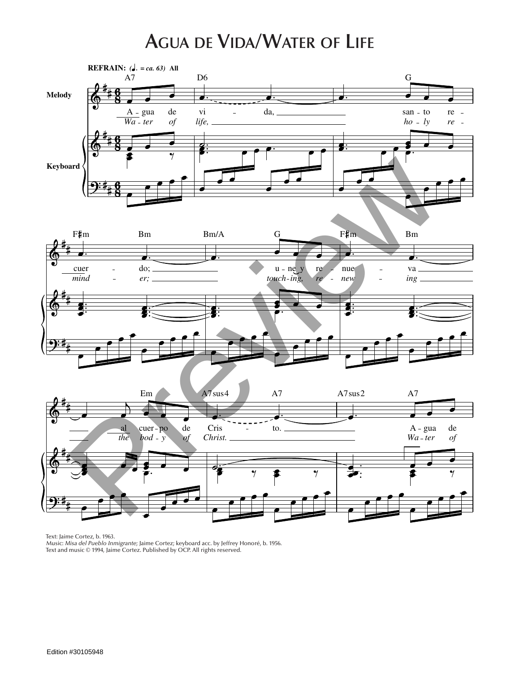## **AGUA DE VIDA/WATER OF LIFE**



Text: Jaime Cortez, b. 1963.

icat. januc Cortez, o. 1.505.<br>Music: Misa del Pueblo Inmigrante; Jaime Cortez; keyboard acc. by Jeffrey Honoré, b. 1956.<br>Text and music © 1994, Jaime Cortez. Published by OCP. All rights reserved.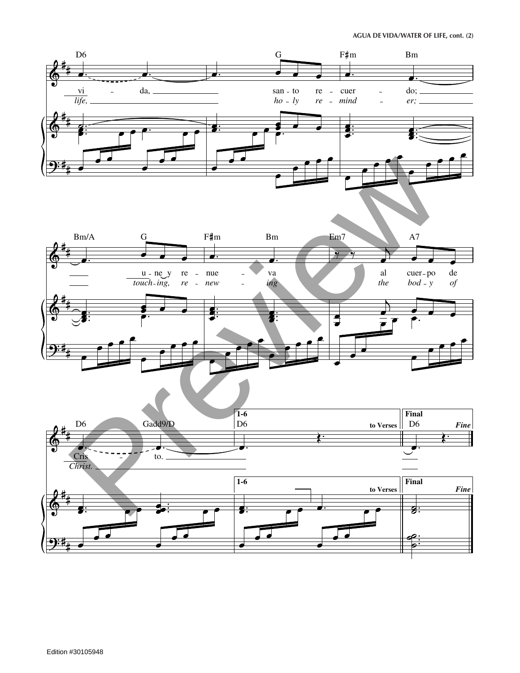